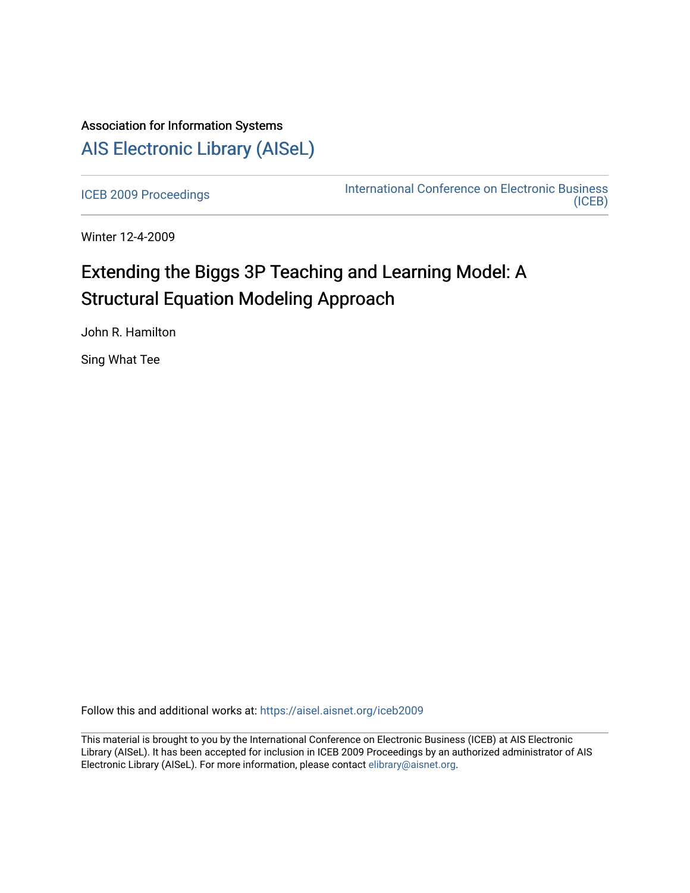## Association for Information Systems [AIS Electronic Library \(AISeL\)](https://aisel.aisnet.org/)

[ICEB 2009 Proceedings](https://aisel.aisnet.org/iceb2009) **International Conference on Electronic Business** [\(ICEB\)](https://aisel.aisnet.org/iceb) 

Winter 12-4-2009

# Extending the Biggs 3P Teaching and Learning Model: A Structural Equation Modeling Approach

John R. Hamilton

Sing What Tee

Follow this and additional works at: [https://aisel.aisnet.org/iceb2009](https://aisel.aisnet.org/iceb2009?utm_source=aisel.aisnet.org%2Ficeb2009%2F150&utm_medium=PDF&utm_campaign=PDFCoverPages)

This material is brought to you by the International Conference on Electronic Business (ICEB) at AIS Electronic Library (AISeL). It has been accepted for inclusion in ICEB 2009 Proceedings by an authorized administrator of AIS Electronic Library (AISeL). For more information, please contact [elibrary@aisnet.org.](mailto:elibrary@aisnet.org%3E)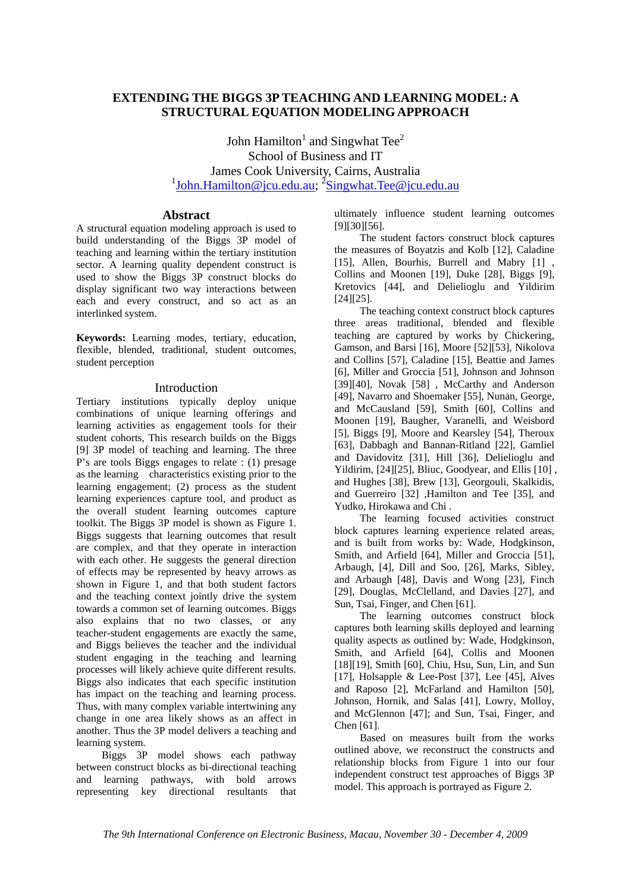## **EXTENDING THE BIGGS 3P TEACHING AND LEARNING MODEL: A STRUCTURAL EQUATION MODELING APPROACH**

John Hamilton<sup>1</sup> and Singwhat Tee<sup>2</sup> School of Business and IT James Cook University, Cairns, Australia <sup>1</sup>John.Hamilton@jcu.edu.au; <sup>2</sup>Singwhat.Tee@jcu.edu.au

## **Abstract**

A structural equation modeling approach is used to build understanding of the Biggs 3P model of teaching and learning within the tertiary institution sector. A learning quality dependent construct is used to show the Biggs 3P construct blocks do display significant two way interactions between each and every construct, and so act as an interlinked system.

**Keywords:** Learning modes, tertiary, education, flexible, blended, traditional, student outcomes, student perception

## Introduction

Tertiary institutions typically deploy unique combinations of unique learning offerings and learning activities as engagement tools for their student cohorts, This research builds on the Biggs [9] 3P model of teaching and learning. The three P's are tools Biggs engages to relate : (1) presage as the learning characteristics existing prior to the learning engagement; (2) process as the student learning experiences capture tool, and product as the overall student learning outcomes capture toolkit. The Biggs 3P model is shown as Figure 1. Biggs suggests that learning outcomes that result are complex, and that they operate in interaction with each other. He suggests the general direction of effects may be represented by heavy arrows as shown in Figure 1, and that both student factors and the teaching context jointly drive the system towards a common set of learning outcomes. Biggs also explains that no two classes, or any teacher-student engagements are exactly the same, and Biggs believes the teacher and the individual student engaging in the teaching and learning processes will likely achieve quite different results. Biggs also indicates that each specific institution has impact on the teaching and learning process. Thus, with many complex variable intertwining any change in one area likely shows as an affect in another. Thus the 3P model delivers a teaching and learning system.

Biggs 3P model shows each pathway between construct blocks as bi-directional teaching and learning pathways, with bold arrows representing key directional resultants that ultimately influence student learning outcomes [9][30][56].

The student factors construct block captures the measures of Boyatzis and Kolb [12], Caladine [15], Allen, Bourhis, Burrell and Mabry [1], Collins and Moonen [19], Duke [28], Biggs [9], Kretovics [44], and Delielioglu and Yildirim [24][25].

The teaching context construct block captures three areas traditional, blended and flexible teaching are captured by works by Chickering, Gamson, and Barsi [16], Moore [52][53], Nikolova and Collins [57], Caladine [15], Beattie and James [6], Miller and Groccia [51], Johnson and Johnson [39][40], Novak [58] , McCarthy and Anderson [49], Navarro and Shoemaker [55], Nunan, George, and McCausland [59], Smith [60], Collins and Moonen [19], Baugher, Varanelli, and Weisbord [5], Biggs [9], Moore and Kearsley [54], Theroux [63], Dabbagh and Bannan-Ritland [22], Gamliel and Davidovitz [31], Hill [36], Delielioglu and Yildirim, [24][25], Bliuc, Goodyear, and Ellis [10] , and Hughes [38], Brew [13], Georgouli, Skalkidis, and Guerreiro [32] ,Hamilton and Tee [35], and Yudko, Hirokawa and Chi .

The learning focused activities construct block captures learning experience related areas, and is built from works by: Wade, Hodgkinson, Smith, and Arfield [64], Miller and Groccia [51], Arbaugh, [4], Dill and Soo, [26], Marks, Sibley, and Arbaugh [48], Davis and Wong [23], Finch [29], Douglas, McClelland, and Davies [27], and Sun, Tsai, Finger, and Chen [61].

The learning outcomes construct block captures both learning skills deployed and learning quality aspects as outlined by: Wade, Hodgkinson, Smith, and Arfield [64], Collis and Moonen [18][19], Smith [60], Chiu, Hsu, Sun, Lin, and Sun [17], Holsapple & Lee-Post [37], Lee [45], Alves and Raposo [2], McFarland and Hamilton [50], Johnson, Hornik, and Salas [41], Lowry, Molloy, and McGlennon [47]; and Sun, Tsai, Finger, and Chen [61].

Based on measures built from the works outlined above, we reconstruct the constructs and relationship blocks from Figure 1 into our four independent construct test approaches of Biggs 3P model. This approach is portrayed as Figure 2.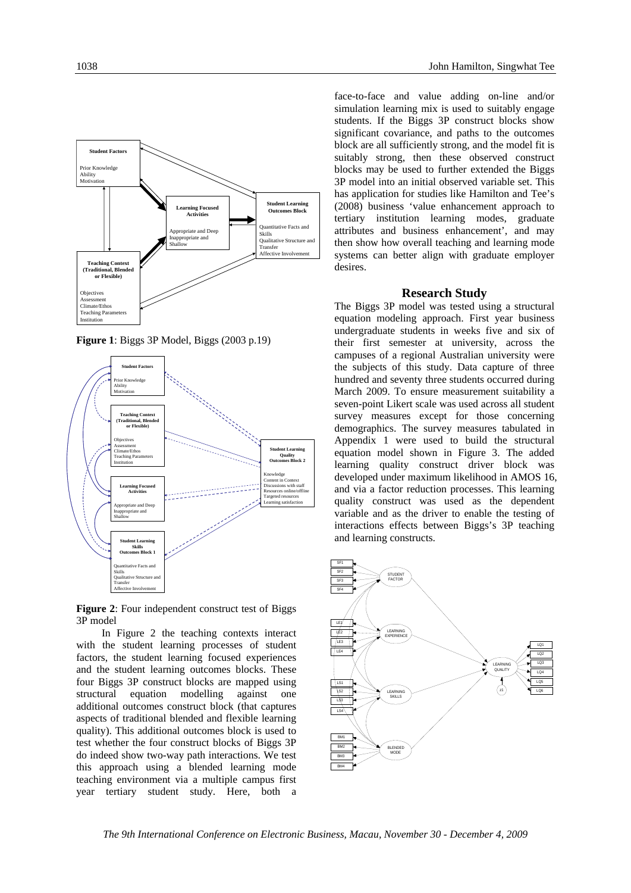

**Figure 1**: Biggs 3P Model, Biggs (2003 p.19)



**Figure 2**: Four independent construct test of Biggs 3P model

In Figure 2 the teaching contexts interact with the student learning processes of student factors, the student learning focused experiences and the student learning outcomes blocks. These four Biggs 3P construct blocks are mapped using structural equation modelling against one additional outcomes construct block (that captures aspects of traditional blended and flexible learning quality). This additional outcomes block is used to test whether the four construct blocks of Biggs 3P do indeed show two-way path interactions. We test this approach using a blended learning mode teaching environment via a multiple campus first year tertiary student study. Here, both a

face-to-face and value adding on-line and/or simulation learning mix is used to suitably engage students. If the Biggs 3P construct blocks show significant covariance, and paths to the outcomes block are all sufficiently strong, and the model fit is suitably strong, then these observed construct blocks may be used to further extended the Biggs 3P model into an initial observed variable set. This has application for studies like Hamilton and Tee's (2008) business 'value enhancement approach to tertiary institution learning modes, graduate attributes and business enhancement', and may then show how overall teaching and learning mode systems can better align with graduate employer desires.

## **Research Study**

The Biggs 3P model was tested using a structural equation modeling approach. First year business undergraduate students in weeks five and six of their first semester at university, across the campuses of a regional Australian university were the subjects of this study. Data capture of three hundred and seventy three students occurred during March 2009. To ensure measurement suitability a seven-point Likert scale was used across all student survey measures except for those concerning demographics. The survey measures tabulated in Appendix 1 were used to build the structural equation model shown in Figure 3. The added learning quality construct driver block was developed under maximum likelihood in AMOS 16, and via a factor reduction processes. This learning quality construct was used as the dependent variable and as the driver to enable the testing of interactions effects between Biggs's 3P teaching and learning constructs.

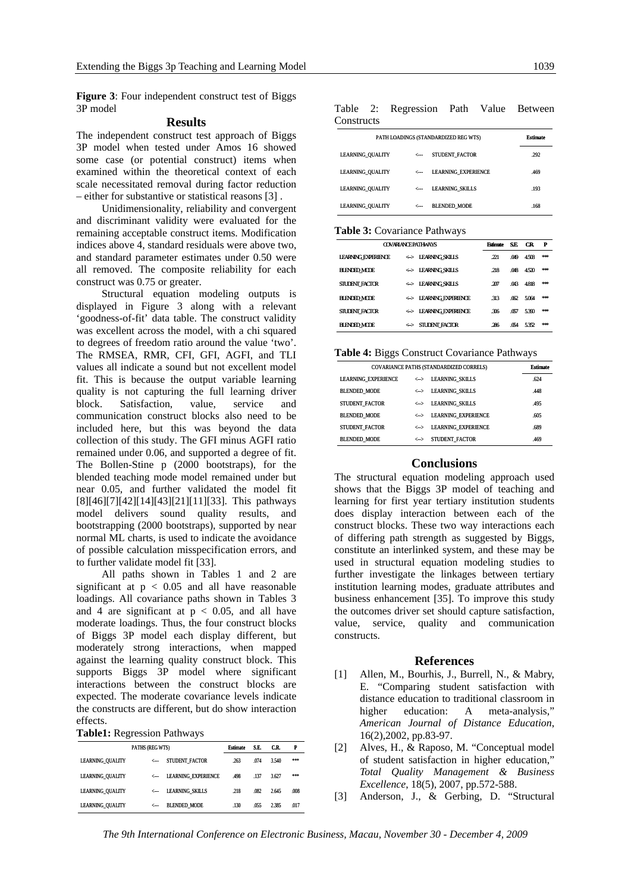**Figure 3**: Four independent construct test of Biggs 3P model

## **Results**

The independent construct test approach of Biggs 3P model when tested under Amos 16 showed some case (or potential construct) items when examined within the theoretical context of each scale necessitated removal during factor reduction – either for substantive or statistical reasons [3] .

Unidimensionality, reliability and convergent and discriminant validity were evaluated for the remaining acceptable construct items. Modification indices above 4, standard residuals were above two, and standard parameter estimates under 0.50 were all removed. The composite reliability for each construct was 0.75 or greater.

Structural equation modeling outputs is displayed in Figure 3 along with a relevant 'goodness-of-fit' data table. The construct validity was excellent across the model, with a chi squared to degrees of freedom ratio around the value 'two'. The RMSEA, RMR, CFI, GFI, AGFI, and TLI values all indicate a sound but not excellent model fit. This is because the output variable learning quality is not capturing the full learning driver block. Satisfaction, value, service and communication construct blocks also need to be included here, but this was beyond the data collection of this study. The GFI minus AGFI ratio remained under 0.06, and supported a degree of fit. The Bollen-Stine p (2000 bootstraps), for the blended teaching mode model remained under but near 0.05, and further validated the model fit [8][46][7][42][14][43][21][11][33]. This pathways model delivers sound quality results, and bootstrapping (2000 bootstraps), supported by near normal ML charts, is used to indicate the avoidance of possible calculation misspecification errors, and to further validate model fit [33].

All paths shown in Tables 1 and 2 are significant at  $p < 0.05$  and all have reasonable loadings. All covariance paths shown in Tables 3 and 4 are significant at  $p < 0.05$ , and all have moderate loadings. Thus, the four construct blocks of Biggs 3P model each display different, but moderately strong interactions, when mapped against the learning quality construct block. This supports Biggs 3P model where significant interactions between the construct blocks are expected. The moderate covariance levels indicate the constructs are different, but do show interaction effects.

| PATHS (REG WTS)         |              |                            | <b>Estimate</b> | S.E. | C.R.  | P    |
|-------------------------|--------------|----------------------------|-----------------|------|-------|------|
| <b>LEARNING QUALITY</b> | $\leftarrow$ | STUDENT FACTOR             | .263            | .074 | 3.540 | ***  |
| <b>LEARNING QUALITY</b> | $\leftarrow$ | <b>LEARNING EXPERIENCE</b> | .498            | .137 | 3.627 | ***  |
| <b>LEARNING QUALITY</b> | $\leftarrow$ | <b>LEARNING SKILLS</b>     | .218            | .082 | 2.645 | .008 |
| <b>LEARNING OUALITY</b> | $\leftarrow$ | <b>BLENDED MODE</b>        | .130            | .055 | 2.385 | .017 |

Table 2: Regression Path Value Between **Constructs** 

|                         |              | PATH LOADINGS (STANDARDIZED REG WTS) | <b>Estimate</b> |
|-------------------------|--------------|--------------------------------------|-----------------|
| <b>LEARNING_QUALITY</b> | $\leftarrow$ | STUDENT FACTOR                       | .292            |
| <b>LEARNING QUALITY</b> | $\leftarrow$ | <b>LEARNING EXPERIENCE</b>           | .469            |
| <b>LEARNING QUALITY</b> | $\leftarrow$ | <b>LEARNING SKILLS</b>               | .193            |
| <b>LEARNING QUALITY</b> | $\leftarrow$ | <b>BLENDED MODE</b>                  | .168            |

#### **Table 3:** Covariance Pathways

| <b>COVARIAN EPATHWAYS</b>  |                                  |      | SE.  | CR.         | $\mathbf{P}$ |
|----------------------------|----------------------------------|------|------|-------------|--------------|
| <b>LEARNING EXPERIENCE</b> | <> IEARNING SKILLS               | 221  | .049 | <b>4503</b> | stolet       |
| <b>BLENDED MCDE</b>        | <> IEARNING SKILLS               | .218 | .048 | 4520        | stolet       |
| <b>SIUDENT FACTOR</b>      | <-> LEARNING SKILLS              | .207 | .043 | 4818        | stolet       |
| <b>BLENDED MCDE</b>        | <-> IEARNING EXPERIENCE          | .313 |      | $062$ 5064  | stolet       |
| <b>STUDENT FACTOR</b>      | <b>IEARNING EXPERIENCE</b><br>⇔  | -306 | .057 | 5390        | stolet       |
| <b>BLENDED MCDE</b>        | $\Leftrightarrow$ STUDENT FACTOR | .286 | .054 | 532         | siplek       |

#### **Table 4:** Biggs Construct Covariance Pathways

| COVARIANCE PATHS (STANDARDIZED CORRELS) | <b>Estimate</b>   |                            |      |
|-----------------------------------------|-------------------|----------------------------|------|
| <b>LEARNING EXPERIENCE</b>              | $\leftrightarrow$ | <b>LEARNING SKILLS</b>     | .624 |
| <b>BLENDED MODE</b>                     | $\leftrightarrow$ | <b>LEARNING SKILLS</b>     | .448 |
| STUDENT FACTOR                          | $\leftrightarrow$ | <b>LEARNING SKILLS</b>     | .495 |
| <b>BLENDED MODE</b>                     | $\leftrightarrow$ | <b>LEARNING EXPERIENCE</b> | .605 |
| STUDENT FACTOR                          | $\leftrightarrow$ | <b>LEARNING EXPERIENCE</b> | .689 |
| <b>BLENDED MODE</b>                     | $\leftrightarrow$ | STUDENT FACTOR             | .469 |

## **Conclusions**

The structural equation modeling approach used shows that the Biggs 3P model of teaching and learning for first year tertiary institution students does display interaction between each of the construct blocks. These two way interactions each of differing path strength as suggested by Biggs, constitute an interlinked system, and these may be used in structural equation modeling studies to further investigate the linkages between tertiary institution learning modes, graduate attributes and business enhancement [35]. To improve this study the outcomes driver set should capture satisfaction, value, service, quality and communication constructs.

#### **References**

- [1] Allen, M., Bourhis, J., Burrell, N., & Mabry, E. "Comparing student satisfaction with distance education to traditional classroom in higher education: A meta-analysis," *American Journal of Distance Education*, 16(2),2002, pp.83-97.
- [2] Alves, H., & Raposo, M. "Conceptual model of student satisfaction in higher education," *Total Quality Management & Business Excellence*, 18(5), 2007, pp.572-588.
- [3] Anderson, J., & Gerbing, D. "Structural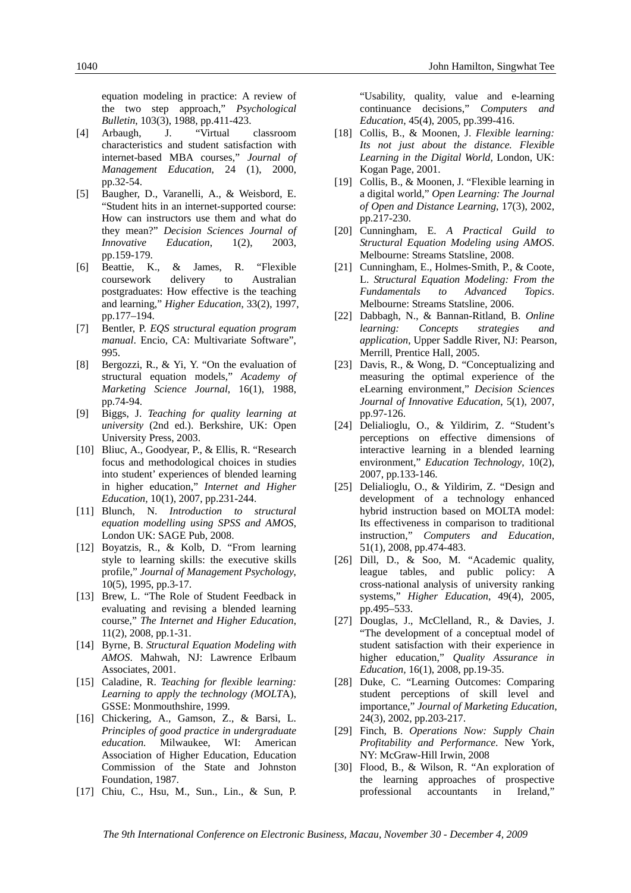equation modeling in practice: A review of the two step approach," *Psychological Bulletin*, 103(3), 1988, pp.411-423.

- [4] Arbaugh, J. "Virtual classroom characteristics and student satisfaction with internet-based MBA courses," *Journal of Management Education*, 24 (1), 2000, pp.32-54.
- [5] Baugher, D., Varanelli, A., & Weisbord, E. "Student hits in an internet-supported course: How can instructors use them and what do they mean?" *Decision Sciences Journal of Innovative Education*, 1(2), 2003, pp.159-179.
- [6] Beattie, K., & James, R. "Flexible coursework delivery to Australian postgraduates: How effective is the teaching and learning," *Higher Education*, 33(2), 1997, pp.177–194.
- [7] Bentler, P. *EQS structural equation program manual*. Encio, CA: Multivariate Software", 995.
- [8] Bergozzi, R., & Yi, Y. "On the evaluation of structural equation models," *Academy of Marketing Science Journal*, 16(1), 1988, pp.74-94.
- [9] Biggs, J. *Teaching for quality learning at university* (2nd ed.). Berkshire, UK: Open University Press, 2003.
- [10] Bliuc, A., Goodyear, P., & Ellis, R. "Research focus and methodological choices in studies into student' experiences of blended learning in higher education," *Internet and Higher Education,* 10(1), 2007, pp.231-244.
- [11] Blunch, N. *Introduction to structural equation modelling using SPSS and AMOS*, London UK: SAGE Pub, 2008.
- [12] Boyatzis, R., & Kolb, D. "From learning style to learning skills: the executive skills profile," *Journal of Management Psychology*, 10(5), 1995, pp.3-17.
- [13] Brew, L. "The Role of Student Feedback in evaluating and revising a blended learning course," *The Internet and Higher Education*, 11(2), 2008, pp.1-31.
- [14] Byrne, B. *Structural Equation Modeling with AMOS*. Mahwah, NJ: Lawrence Erlbaum Associates, 2001.
- [15] Caladine, R. *Teaching for flexible learning: Learning to apply the technology (MOLT*A), GSSE: Monmouthshire, 1999.
- [16] Chickering, A., Gamson, Z., & Barsi, L. *Principles of good practice in undergraduate education.* Milwaukee, WI: American Association of Higher Education, Education Commission of the State and Johnston Foundation, 1987.
- [17] Chiu, C., Hsu, M., Sun., Lin., & Sun, P.

"Usability, quality, value and e-learning continuance decisions," *Computers and Education*, 45(4), 2005, pp.399-416.

- [18] Collis, B., & Moonen, J. *Flexible learning: Its not just about the distance. Flexible Learning in the Digital World,* London, UK: Kogan Page, 2001.
- [19] Collis, B., & Moonen, J. "Flexible learning in a digital world," *Open Learning: The Journal of Open and Distance Learning*, 17(3), 2002, pp.217-230.
- [20] Cunningham, E. *A Practical Guild to Structural Equation Modeling using AMOS*. Melbourne: Streams Statsline, 2008.
- [21] Cunningham, E., Holmes-Smith, P., & Coote, L. *Structural Equation Modeling: From the Fundamentals to Advanced Topics*. Melbourne: Streams Statsline, 2006.
- [22] Dabbagh, N., & Bannan-Ritland, B. *Online learning: Concepts strategies and application*, Upper Saddle River, NJ: Pearson, Merrill, Prentice Hall, 2005.
- [23] Davis, R., & Wong, D. "Conceptualizing and measuring the optimal experience of the eLearning environment," *Decision Sciences Journal of Innovative Education*, 5(1), 2007, pp.97-126.
- [24] Delialioglu, O., & Yildirim, Z. "Student's perceptions on effective dimensions of interactive learning in a blended learning environment," *Education Technology*, 10(2), 2007, pp.133-146.
- [25] Delialioglu, O., & Yildirim, Z. "Design and development of a technology enhanced hybrid instruction based on MOLTA model: Its effectiveness in comparison to traditional instruction," *Computers and Education*, 51(1), 2008, pp.474-483.
- [26] Dill, D., & Soo, M. "Academic quality, league tables, and public policy: A cross-national analysis of university ranking systems," *Higher Education*, 49(4), 2005, pp.495–533.
- [27] Douglas, J., McClelland, R., & Davies, J. "The development of a conceptual model of student satisfaction with their experience in higher education," *Quality Assurance in Education,* 16(1), 2008, pp.19-35.
- [28] Duke, C. "Learning Outcomes: Comparing student perceptions of skill level and importance," *Journal of Marketing Education*, 24(3), 2002, pp.203-217.
- [29] Finch, B. *Operations Now: Supply Chain Profitability and Performance*. New York, NY: McGraw-Hill Irwin, 2008
- [30] Flood, B., & Wilson, R. "An exploration of the learning approaches of prospective professional accountants in Ireland,"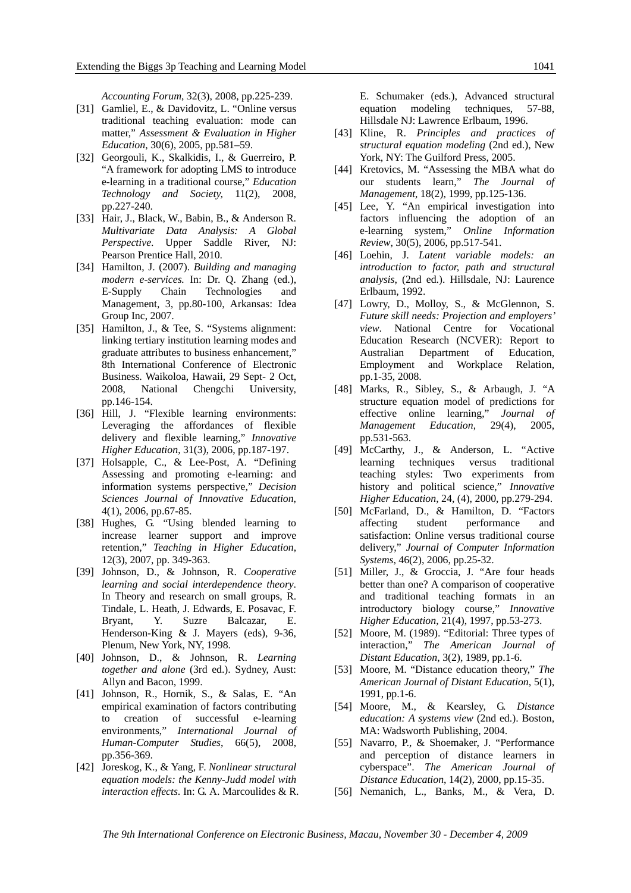*Accounting Forum*, 32(3), 2008, pp.225-239.

- [31] Gamliel, E., & Davidovitz, L. "Online versus traditional teaching evaluation: mode can matter," *Assessment & Evaluation in Higher Education*, 30(6), 2005, pp.581–59.
- [32] Georgouli, K., Skalkidis, I., & Guerreiro, P. "A framework for adopting LMS to introduce e-learning in a traditional course," *Education Technology and Society,* 11(2), 2008, pp.227-240.
- [33] Hair, J., Black, W., Babin, B., & Anderson R. *Multivariate Data Analysis: A Global Perspective*. Upper Saddle River, NJ: Pearson Prentice Hall, 2010.
- [34] Hamilton, J. (2007). *Building and managing modern e-services.* In: Dr. Q. Zhang (ed.), E-Supply Chain Technologies and Management, 3, pp.80-100, Arkansas: Idea Group Inc, 2007.
- [35] Hamilton, J., & Tee, S. "Systems alignment: linking tertiary institution learning modes and graduate attributes to business enhancement," 8th International Conference of Electronic Business. Waikoloa, Hawaii, 29 Sept- 2 Oct, 2008, National Chengchi University, pp.146-154.
- [36] Hill, J. "Flexible learning environments: Leveraging the affordances of flexible delivery and flexible learning," *Innovative Higher Education*, 31(3), 2006, pp.187-197.
- [37] Holsapple, C., & Lee-Post, A. "Defining Assessing and promoting e-learning: and information systems perspective," *Decision Sciences Journal of Innovative Education*, 4(1), 2006, pp.67-85.
- [38] Hughes, G. "Using blended learning to increase learner support and improve retention," *Teaching in Higher Education*, 12(3), 2007, pp. 349-363.
- [39] Johnson, D., & Johnson, R. *Cooperative learning and social interdependence theory*. In Theory and research on small groups, R. Tindale, L. Heath, J. Edwards, E. Posavac, F. Bryant, Y. Suzre Balcazar, E. Henderson-King & J. Mayers (eds), 9-36, Plenum, New York, NY, 1998.
- [40] Johnson, D., & Johnson, R. *Learning together and alone* (3rd ed.). Sydney, Aust: Allyn and Bacon, 1999.
- [41] Johnson, R., Hornik, S., & Salas, E. "An empirical examination of factors contributing to creation of successful e-learning environments," *International Journal of Human-Computer Studies*, 66(5), 2008, pp.356-369.
- [42] Joreskog, K., & Yang, F. *Nonlinear structural equation models: the Kenny-Judd model with interaction effects*. In: G. A. Marcoulides & R.

E. Schumaker (eds.), Advanced structural equation modeling techniques, 57-88, Hillsdale NJ: Lawrence Erlbaum, 1996.

- [43] Kline, R. *Principles and practices of structural equation modeling* (2nd ed.), New York, NY: The Guilford Press, 2005.
- [44] Kretovics, M. "Assessing the MBA what do our students learn*,*" *The Journal of Management*, 18(2), 1999, pp.125-136.
- [45] Lee, Y. "An empirical investigation into factors influencing the adoption of an e-learning system," *Online Information Review*, 30(5), 2006, pp.517-541.
- [46] Loehin, J. *Latent variable models: an introduction to factor, path and structural analysis*, (2nd ed.). Hillsdale, NJ: Laurence Erlbaum, 1992.
- [47] Lowry, D., Molloy, S., & McGlennon, S. *Future skill needs: Projection and employers' view*. National Centre for Vocational Education Research (NCVER): Report to Australian Department of Education, Employment and Workplace Relation, pp.1-35, 2008.
- [48] Marks, R., Sibley, S., & Arbaugh, J. "A structure equation model of predictions for effective online learning," *Journal of Management Education*, 29(4), 2005, pp.531-563.
- [49] McCarthy, J., & Anderson, L. "Active learning techniques versus traditional teaching styles: Two experiments from history and political science," *Innovative Higher Education*, 24, (4), 2000, pp.279-294.
- [50] McFarland, D., & Hamilton, D. "Factors affecting student performance and satisfaction: Online versus traditional course delivery," *Journal of Computer Information Systems*, 46(2), 2006, pp.25-32.
- [51] Miller, J., & Groccia, J. "Are four heads better than one? A comparison of cooperative and traditional teaching formats in an introductory biology course," *Innovative Higher Education*, 21(4), 1997, pp.53-273.
- [52] Moore, M. (1989). "Editorial: Three types of interaction," *The American Journal of Distant Education*, 3(2), 1989, pp.1-6.
- [53] Moore, M. "Distance education theory," *The American Journal of Distant Education*, 5(1), 1991, pp.1-6.
- [54] Moore, M., & Kearsley, G. *Distance education: A systems view* (2nd ed.). Boston, MA: Wadsworth Publishing, 2004.
- [55] Navarro, P., & Shoemaker, J. "Performance and perception of distance learners in cyberspace". *The American Journal of Distance Education*, 14(2), 2000, pp.15-35.
- [56] Nemanich, L., Banks, M., & Vera, D.